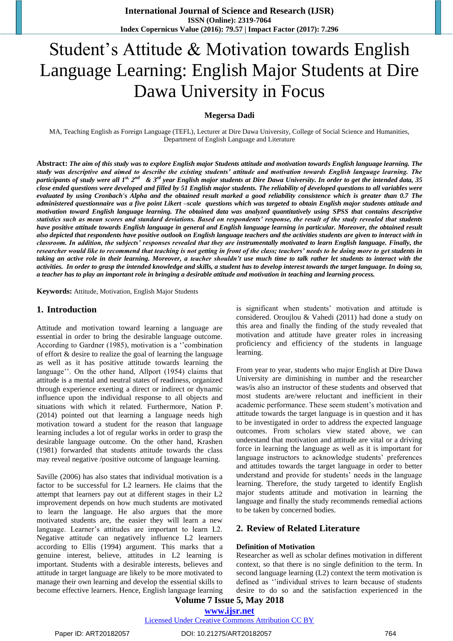# Student"s Attitude & Motivation towards English Language Learning: English Major Students at Dire Dawa University in Focus

**Megersa Dadi**

MA, Teaching English as Foreign Language (TEFL), Lecturer at Dire Dawa University, College of Social Science and Humanities, Department of English Language and Literature

**Abstract:** *The aim of this study was to explore English major Students attitude and motivation towards English language learning. The study was descriptive and aimed to describe the existing students' attitude and motivation towards English language learning. The*  participants of study were all 1<sup>st,</sup> 2<sup>nd</sup> & 3<sup>rd</sup> year English major students at Dire Dawa University. In order to get the intended data, 35 *close ended questions were developed and filled by 51 English major students. The reliability of developed questions to all variables were evaluated by using Cronbach's Alpha and the obtained result marked a good reliability consistence which is greater than 0.7 The administered questionnaire was a five point Likert –scale questions which was targeted to obtain English major students attitude and motivation toward English language learning. The obtained data was analyzed quantitatively using SPSS that contains descriptive statistics such as mean scores and standard deviations. Based on respondents' response, the result of the study revealed that students have positive attitude towards English language in general and English language learning in particular. Moreover, the obtained result also depicted that respondents have positive outlook on English language teachers and the activities students are given to interact with in classroom. In addition, the subjects' responses revealed that they are instrumentally motivated to learn English language. Finally, the researcher would like to recommend that teaching is not getting in front of the class; teachers' needs to be doing more to get students in taking an active role in their learning. Moreover, a teacher shouldn't use much time to talk rather let students to interact with the activities. In order to grasp the intended knowledge and skills, a student has to develop interest towards the target language. In doing so, a teacher has to play an important role in bringing a desirable attitude and motivation in teaching and learning process.* 

**Keywords:** Attitude, Motivation, English Major Students

#### **1. Introduction**

Attitude and motivation toward learning a language are essential in order to bring the desirable language outcome. According to Gardner (1985), motivation is a "combination of effort & desire to realize the goal of learning the language as well as it has positive attitude towards learning the language". On the other hand, Allport (1954) claims that attitude is a mental and neutral states of readiness, organized through experience exerting a direct or indirect or dynamic influence upon the individual response to all objects and situations with which it related. Furthermore, Nation P. (2014) pointed out that learning a language needs high motivation toward a student for the reason that language learning includes a lot of regular works in order to grasp the desirable language outcome. On the other hand, Krashen (1981) forwarded that students attitude towards the class may reveal negative /positive outcome of language learning.

Saville (2006) has also states that individual motivation is a factor to be successful for L2 learners. He claims that the attempt that learners pay out at different stages in their L2 improvement depends on how much students are motivated to learn the language. He also argues that the more motivated students are, the easier they will learn a new language. Learner's attitudes are important to learn L2. Negative attitude can negatively influence L2 learners according to Ellis (1994) argument. This marks that a genuine interest, believe, attitudes in L2 learning is important. Students with a desirable interests, believes and attitude in target language are likely to be more motivated to manage their own learning and develop the essential skills to become effective learners. Hence, English language learning is significant when students' motivation and attitude is considered. Oroujlou & Vahedi (2011) had done a study on this area and finally the finding of the study revealed that motivation and attitude have greater roles in increasing proficiency and efficiency of the students in language learning.

From year to year, students who major English at Dire Dawa University are diminishing in number and the researcher was/is also an instructor of these students and observed that most students are/were reluctant and inefficient in their academic performance. These seem student"s motivation and attitude towards the target language is in question and it has to be investigated in order to address the expected language outcomes. From scholars view stated above, we can understand that motivation and attitude are vital or a driving force in learning the language as well as it is important for language instructors to acknowledge students' preferences and attitudes towards the target language in order to better understand and provide for students' needs in the language learning. Therefore, the study targeted to identify English major students attitude and motivation in learning the language and finally the study recommends remedial actions to be taken by concerned bodies.

#### **2. Review of Related Literature**

#### **Definition of Motivation**

Researcher as well as scholar defines motivation in different context, so that there is no single definition to the term. In second language learning (L2) context the term motivation is defined as "individual strives to learn because of students desire to do so and the satisfaction experienced in the

## **Volume 7 Issue 5, May 2018 <www.ijsr.net>**

[Licensed Under Creative Commons Attribution CC BY](http://creativecommons.org/licenses/by/4.0/)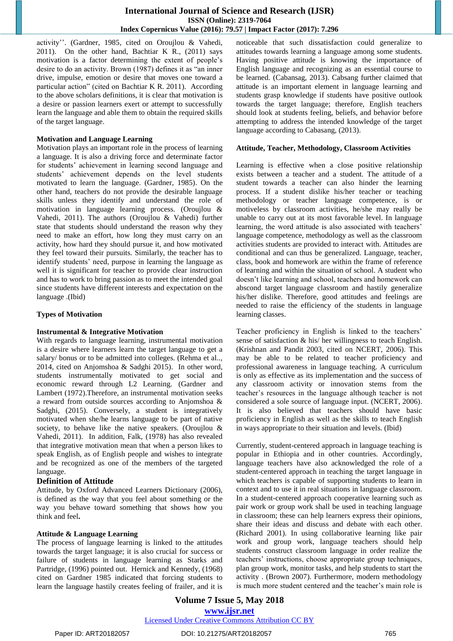activity". (Gardner, 1985, cited on Oroujlou & Vahedi, 2011). On the other hand, Bachtiar K R., (2011) says motivation is a factor determining the extent of people"s desire to do an activity. Brown (1987) defines it as "an inner drive, impulse, emotion or desire that moves one toward a particular action" (cited on Bachtiar K R. 2011). According to the above scholars definitions, it is clear that motivation is a desire or passion learners exert or attempt to successfully learn the language and able them to obtain the required skills of the target language.

#### **Motivation and Language Learning**

Motivation plays an important role in the process of learning a language. It is also a driving force and determinate factor for students" achievement in learning second language and students" achievement depends on the level students motivated to learn the language. (Gardner, 1985). On the other hand, teachers do not provide the desirable language skills unless they identify and understand the role of motivation in language learning process. (Oroujlou & Vahedi, 2011). The authors (Oroujlou & Vahedi) further state that students should understand the reason why they need to make an effort, how long they must carry on an activity, how hard they should pursue it, and how motivated they feel toward their pursuits. Similarly, the teacher has to identify students' need, purpose in learning the language as well it is significant for teacher to provide clear instruction and has to work to bring passion as to meet the intended goal since students have different interests and expectation on the language .(Ibid)

#### **Types of Motivation**

#### **Instrumental & Integrative Motivation**

With regards to language learning, instrumental motivation is a desire where learners learn the target language to get a salary/ bonus or to be admitted into colleges. (Rehma et al.., 2014, cited on Anjomshoa & Sadghi 2015). In other word, students instrumentally motivated to get social and economic reward through L2 Learning. (Gardner and Lambert (1972).Therefore, an instrumental motivation seeks a reward from outside sources according to Anjomshoa & Sadghi, (2015). Conversely, a student is integratively motivated when she/he learns language to be part of native society, to behave like the native speakers. (Oroujlou & Vahedi, 2011). In addition, Falk, (1978) has also revealed that integrative motivation mean that when a person likes to speak English, as of English people and wishes to integrate and be recognized as one of the members of the targeted language.

#### **Definition of Attitude**

Attitude, by Oxford Advanced Learners Dictionary (2006), is defined as the way that you feel about something or the way you behave toward something that shows how you think and feel**.** 

#### **Attitude & Language Learning**

The process of language learning is linked to the attitudes towards the target language; it is also crucial for success or failure of students in language learning as Starks and Partridge, (1996) pointed out. Hernick and Kennedy, (1968) cited on Gardner 1985 indicated that forcing students to learn the language hastily creates feeling of frailer, and it is noticeable that such dissatisfaction could generalize to attitudes towards learning a language among some students. Having positive attitude is knowing the importance of English language and recognizing as an essential course to be learned. (Cabansag, 2013). Cabsang further claimed that attitude is an important element in language learning and students grasp knowledge if students have positive outlook towards the target language; therefore, English teachers should look at students feeling, beliefs, and behavior before attempting to address the intended knowledge of the target language according to Cabasang, (2013).

#### **Attitude, Teacher, Methodology, Classroom Activities**

Learning is effective when a close positive relationship exists between a teacher and a student. The attitude of a student towards a teacher can also hinder the learning process. If a student dislike his/her teacher or teaching methodology or teacher language competence, is or motiveless by classroom activities, he/she may really be unable to carry out at its most favorable level. In language learning, the word attitude is also associated with teachers' language competence, methodology as well as the classroom activities students are provided to interact with. Attitudes are conditional and can thus be generalized. Language, teacher, class, book and homework are within the frame of reference of learning and within the situation of school. A student who doesn"t like learning and school, teachers and homework can abscond target language classroom and hastily generalize his/her dislike. Therefore, good attitudes and feelings are needed to raise the efficiency of the students in language learning classes.

Teacher proficiency in English is linked to the teachers' sense of satisfaction & his/ her willingness to teach English. (Krishnan and Pandit 2003, cited on NCERT, 2006). This may be able to be related to teacher proficiency and professional awareness in language teaching. A curriculum is only as effective as its implementation and the success of any classroom activity or innovation stems from the teacher"s resources in the language although teacher is not considered a sole source of language input. (NCERT, 2006). It is also believed that teachers should have basic proficiency in English as well as the skills to teach English in ways appropriate to their situation and levels. (Ibid)

Currently, student-centered approach in language teaching is popular in Ethiopia and in other countries. Accordingly, language teachers have also acknowledged the role of a student-centered approach in teaching the target language in which teachers is capable of supporting students to learn in context and to use it in real situations in language classroom. In a student-centered approach cooperative learning such as pair work or group work shall be used in teaching language in classroom; these can help learners express their opinions, share their ideas and discuss and debate with each other. (Richard 2001). In using collaborative learning like pair work and group work, language teachers should help students construct classroom language in order realize the teachers" instructions, choose appropriate group techniques, plan group work, monitor tasks, and help students to start the activity . (Brown 2007). Furthermore, modern methodology is much more student centered and the teacher's main role is

**Volume 7 Issue 5, May 2018 <www.ijsr.net>** [Licensed Under Creative Commons Attribution CC BY](http://creativecommons.org/licenses/by/4.0/)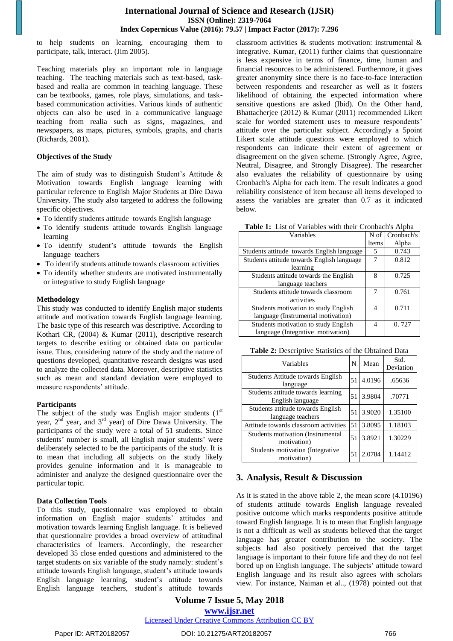to help students on learning, encouraging them to participate, talk, interact. (Jim 2005).

Teaching materials play an important role in language teaching. The teaching materials such as text-based, taskbased and realia are common in teaching language. These can be textbooks, games, role plays, simulations, and taskbased communication activities. Various kinds of authentic objects can also be used in a communicative language teaching from realia such as signs, magazines, and newspapers, as maps, pictures, symbols, graphs, and charts (Richards, 2001).

#### **Objectives of the Study**

The aim of study was to distinguish Student's Attitude  $\&$ Motivation towards English language learning with particular reference to English Major Students at Dire Dawa University. The study also targeted to address the following specific objectives.

- To identify students attitude towards English language
- To identify students attitude towards English language learning
- To identify student"s attitude towards the English language teachers
- To identify students attitude towards classroom activities
- To identify whether students are motivated instrumentally or integrative to study English language

#### **Methodology**

This study was conducted to identify English major students attitude and motivation towards English language learning. The basic type of this research was descriptive. According to Kothari CR, (2004) & Kumar (2011), descriptive research targets to describe exiting or obtained data on particular issue. Thus, considering nature of the study and the nature of questions developed, quantitative research designs was used to analyze the collected data. Moreover, descriptive statistics such as mean and standard deviation were employed to measure respondents' attitude.

#### **Participants**

The subject of the study was English major students  $(1<sup>st</sup>)$ year, 2nd year, and 3rd year) of Dire Dawa University. The participants of the study were a total of 51 students. Since students' number is small, all English major students' were deliberately selected to be the participants of the study. It is to mean that including all subjects on the study likely provides genuine information and it is manageable to administer and analyze the designed questionnaire over the particular topic.

#### **Data Collection Tools**

To this study, questionnaire was employed to obtain information on English major students' attitudes and motivation towards learning English language. It is believed that questionnaire provides a broad overview of attitudinal characteristics of learners. Accordingly, the researcher developed 35 close ended questions and administered to the target students on six variable of the study namely: student"s attitude towards English language, student"s attitude towards English language learning, student's attitude towards English language teachers, student"s attitude towards classroom activities & students motivation: instrumental & integrative. Kumar, (2011) further claims that questionnaire is less expensive in terms of finance, time, human and financial resources to be administered. Furthermore, it gives greater anonymity since there is no face-to-face interaction between respondents and researcher as well as it fosters likelihood of obtaining the expected information where sensitive questions are asked (Ibid). On the Other hand, Bhattacherjee (2012) & Kumar (2011) recommended Likert scale for worded statement uses to measure respondents' attitude over the particular subject. Accordingly a 5point Likert scale attitude questions were employed to which respondents can indicate their extent of agreement or disagreement on the given scheme. (Strongly Agree, Agree, Neutral, Disagree, and Strongly Disagree). The researcher also evaluates the reliability of questionnaire by using Cronbach's Alpha for each item. The result indicates a good reliability consistence of item because all items developed to assess the variables are greater than 0.7 as it indicated below.

**Table 1:** List of Variables with their Cronbach's Alpha

| Variables                                  |       | N of Cronbach's |
|--------------------------------------------|-------|-----------------|
|                                            | Items | Alpha           |
| Students attitude towards English language | 5     | 0.743           |
| Students attitude towards English language |       | 0.812           |
| learning                                   |       |                 |
| Students attitude towards the English      | 8     | 0.725           |
| language teachers                          |       |                 |
| Students attitude towards classroom        |       | 0.761           |
| activities                                 |       |                 |
| Students motivation to study English       | 4     | 0.711           |
| language (Instrumental motivation)         |       |                 |
| Students motivation to study English       | 4     | 0.727           |
| language (Integrative motivation)          |       |                 |

**Table 2:** Descriptive Statistics of the Obtained Data

| Variables                                              | N  | Mean   | Std.<br>Deviation |
|--------------------------------------------------------|----|--------|-------------------|
| Students Attitude towards English<br>language          | 51 | 4.0196 | .65636            |
| Students attitude towards learning<br>English language | 51 | 3.9804 | .70771            |
| Students attitude towards English<br>language teachers | 51 | 3.9020 | 1.35100           |
| Attitude towards classroom activities                  | 51 | 3.8095 | 1.18103           |
| Students motivation (Instrumental<br>motivation)       | 51 | 3.8921 | 1.30229           |
| Students motivation (Integrative<br>motivation)        | 51 | 2.0784 | 1.14412           |

## **3. Analysis, Result & Discussion**

As it is stated in the above table 2, the mean score (4.10196) of students attitude towards English language revealed positive outcome which marks respondents positive attitude toward English language. It is to mean that English language is not a difficult as well as students believed that the target language has greater contribution to the society. The subjects had also positively perceived that the target language is important to their future life and they do not feel bored up on English language. The subjects' attitude toward English language and its result also agrees with scholars view. For instance, Naiman et al.., (1978) pointed out that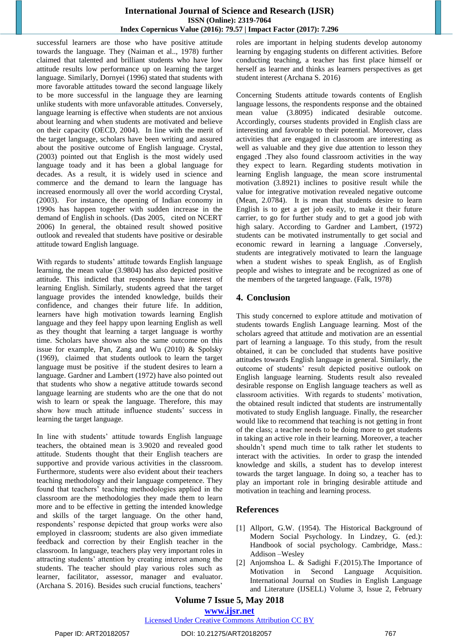#### **International Journal of Science and Research (IJSR) ISSN (Online): 2319-7064 Index Copernicus Value (2016): 79.57 | Impact Factor (2017): 7.296**

successful learners are those who have positive attitude towards the language. They (Naiman et al.., 1978) further claimed that talented and brilliant students who have low attitude results low performance up on learning the target language. Similarly, Dornyei (1996) stated that students with more favorable attitudes toward the second language likely to be more successful in the language they are learning unlike students with more unfavorable attitudes. Conversely, language learning is effective when students are not anxious about learning and when students are motivated and believe on their capacity (OECD, 2004). In line with the merit of the target language, scholars have been writing and assured about the positive outcome of English language. Crystal, (2003) pointed out that English is the most widely used language toady and it has been a global language for decades. As a result, it is widely used in science and commerce and the demand to learn the language has increased enormously all over the world according Crystal, (2003). For instance, the opening of Indian economy in 1990s has happen together with sudden increase in the demand of English in schools. (Das 2005, cited on NCERT 2006) In general, the obtained result showed positive outlook and revealed that students have positive or desirable attitude toward English language.

With regards to students' attitude towards English language learning, the mean value (3.9804) has also depicted positive attitude. This indicted that respondents have interest of learning English. Similarly, students agreed that the target language provides the intended knowledge, builds their confidence, and changes their future life. In addition, learners have high motivation towards learning English language and they feel happy upon learning English as well as they thought that learning a target language is worthy time. Scholars have shown also the same outcome on this issue for example, Pan, Zang and Wu (2010) & Spolsky (1969), claimed that students outlook to learn the target language must be positive if the student desires to learn a language. Gardner and Lambert (1972) have also pointed out that students who show a negative attitude towards second language learning are students who are the one that do not wish to learn or speak the language. Therefore, this may show how much attitude influence students' success in learning the target language.

In line with students' attitude towards English language teachers, the obtained mean is 3.9020 and revealed good attitude. Students thought that their English teachers are supportive and provide various activities in the classroom. Furthermore, students were also evident about their teachers teaching methodology and their language competence. They found that teachers" teaching methodologies applied in the classroom are the methodologies they made them to learn more and to be effective in getting the intended knowledge and skills of the target language. On the other hand, respondents' response depicted that group works were also employed in classroom; students are also given immediate feedback and correction by their English teacher in the classroom. In language, teachers play very important roles in attracting students" attention by creating interest among the students. The teacher should play various roles such as learner, facilitator, assessor, manager and evaluator. (Archana S. 2016). Besides such crucial functions, teachers"

roles are important in helping students develop autonomy learning by engaging students on different activities. Before conducting teaching, a teacher has first place himself or herself as learner and thinks as learners perspectives as get student interest (Archana S. 2016)

Concerning Students attitude towards contents of English language lessons, the respondents response and the obtained mean value (3.8095) indicated desirable outcome. Accordingly, courses students provided in English class are interesting and favorable to their potential. Moreover, class activities that are engaged in classroom are interesting as well as valuable and they give due attention to lesson they engaged .They also found classroom activities in the way they expect to learn. Regarding students motivation in learning English language, the mean score instrumental motivation (3.8921) inclines to positive result while the value for integrative motivation revealed negative outcome (Mean, 2.0784). It is mean that students desire to learn English is to get a get job easily, to make it their future carrier, to go for further study and to get a good job with high salary. According to Gardner and Lambert, (1972) students can be motivated instrumentally to get social and economic reward in learning a language .Conversely, students are integratively motivated to learn the language when a student wishes to speak English, as of English people and wishes to integrate and be recognized as one of the members of the targeted language. (Falk, 1978)

## **4. Conclusion**

This study concerned to explore attitude and motivation of students towards English Language learning. Most of the scholars agreed that attitude and motivation are an essential part of learning a language. To this study, from the result obtained, it can be concluded that students have positive attitudes towards English language in general. Similarly, the outcome of students' result depicted positive outlook on English language learning. Students result also revealed desirable response on English language teachers as well as classroom activities. With regards to students" motivation, the obtained result indicted that students are instrumentally motivated to study English language. Finally, the researcher would like to recommend that teaching is not getting in front of the class; a teacher needs to be doing more to get students in taking an active role in their learning. Moreover, a teacher shouldn"t spend much time to talk rather let students to interact with the activities. In order to grasp the intended knowledge and skills, a student has to develop interest towards the target language. In doing so, a teacher has to play an important role in bringing desirable attitude and motivation in teaching and learning process.

## **References**

- [1] Allport, G.W. (1954). The Historical Background of Modern Social Psychology. In Lindzey, G. (ed.): Handbook of social psychology. Cambridge, Mass.: Addison –Wesley
- [2] Anjomshoa L. & Sadighi F.(2015).The Importance of Motivation in Second Language Acquisition. International Journal on Studies in English Language and Literature (IJSELL) Volume 3, Issue 2, February

### **Volume 7 Issue 5, May 2018 <www.ijsr.net>**

#### [Licensed Under Creative Commons Attribution CC BY](http://creativecommons.org/licenses/by/4.0/)